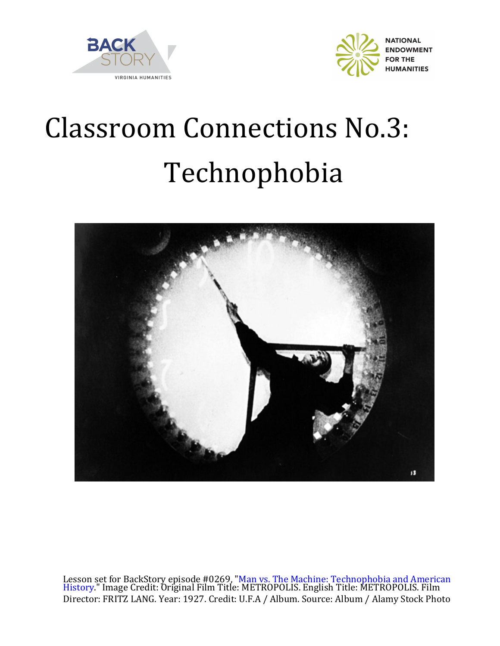



## **Classroom Connections No.3:** Technophobia



Lesson set for BackStory episode #0269, "Man vs. The Machine: Technophobia and American [History." Image Credit: Original Film Title: METROPOLIS. English Title: METROPOLIS. Film](https://www.backstoryradio.org/shows/man-vs-the-machine)  Director: FRITZ LANG. Year: 1927. Credit: U.F.A / Album. Source: Album / Alamy Stock Photo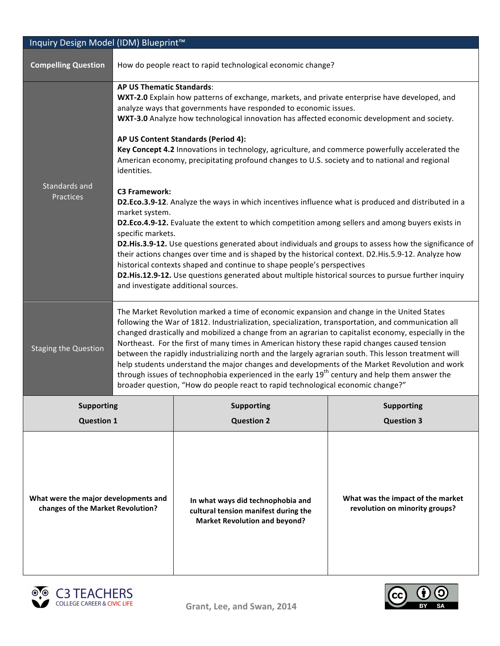| Inquiry Design Model (IDM) Blueprint™                                     |                                                                                                                                                                                                                                                                                                                                                                                                                                                                                                                                                                                                                                                                                                                                                                                                                    |                                                                                                                   |                                                                     |  |  |
|---------------------------------------------------------------------------|--------------------------------------------------------------------------------------------------------------------------------------------------------------------------------------------------------------------------------------------------------------------------------------------------------------------------------------------------------------------------------------------------------------------------------------------------------------------------------------------------------------------------------------------------------------------------------------------------------------------------------------------------------------------------------------------------------------------------------------------------------------------------------------------------------------------|-------------------------------------------------------------------------------------------------------------------|---------------------------------------------------------------------|--|--|
| <b>Compelling Question</b>                                                | How do people react to rapid technological economic change?                                                                                                                                                                                                                                                                                                                                                                                                                                                                                                                                                                                                                                                                                                                                                        |                                                                                                                   |                                                                     |  |  |
|                                                                           | <b>AP US Thematic Standards:</b><br>WXT-2.0 Explain how patterns of exchange, markets, and private enterprise have developed, and<br>analyze ways that governments have responded to economic issues.<br>WXT-3.0 Analyze how technological innovation has affected economic development and society.                                                                                                                                                                                                                                                                                                                                                                                                                                                                                                               |                                                                                                                   |                                                                     |  |  |
|                                                                           | AP US Content Standards (Period 4):<br>Key Concept 4.2 Innovations in technology, agriculture, and commerce powerfully accelerated the<br>American economy, precipitating profound changes to U.S. society and to national and regional<br>identities.                                                                                                                                                                                                                                                                                                                                                                                                                                                                                                                                                             |                                                                                                                   |                                                                     |  |  |
| Standards and<br>Practices                                                | <b>C3 Framework:</b><br>D2.Eco.3.9-12. Analyze the ways in which incentives influence what is produced and distributed in a<br>market system.<br>D2.Eco.4.9-12. Evaluate the extent to which competition among sellers and among buyers exists in<br>specific markets.<br>D2.His.3.9-12. Use questions generated about individuals and groups to assess how the significance of<br>their actions changes over time and is shaped by the historical context. D2.His.5.9-12. Analyze how<br>historical contexts shaped and continue to shape people's perspectives<br>D2.His.12.9-12. Use questions generated about multiple historical sources to pursue further inquiry<br>and investigate additional sources.                                                                                                     |                                                                                                                   |                                                                     |  |  |
|                                                                           |                                                                                                                                                                                                                                                                                                                                                                                                                                                                                                                                                                                                                                                                                                                                                                                                                    |                                                                                                                   |                                                                     |  |  |
| <b>Staging the Question</b>                                               | The Market Revolution marked a time of economic expansion and change in the United States<br>following the War of 1812. Industrialization, specialization, transportation, and communication all<br>changed drastically and mobilized a change from an agrarian to capitalist economy, especially in the<br>Northeast. For the first of many times in American history these rapid changes caused tension<br>between the rapidly industrializing north and the largely agrarian south. This lesson treatment will<br>help students understand the major changes and developments of the Market Revolution and work<br>through issues of technophobia experienced in the early 19 <sup>th</sup> century and help them answer the<br>broader question, "How do people react to rapid technological economic change?" |                                                                                                                   |                                                                     |  |  |
| <b>Supporting</b>                                                         |                                                                                                                                                                                                                                                                                                                                                                                                                                                                                                                                                                                                                                                                                                                                                                                                                    | <b>Supporting</b>                                                                                                 | <b>Supporting</b>                                                   |  |  |
| <b>Question 1</b>                                                         |                                                                                                                                                                                                                                                                                                                                                                                                                                                                                                                                                                                                                                                                                                                                                                                                                    | <b>Question 2</b>                                                                                                 | <b>Question 3</b>                                                   |  |  |
| What were the major developments and<br>changes of the Market Revolution? |                                                                                                                                                                                                                                                                                                                                                                                                                                                                                                                                                                                                                                                                                                                                                                                                                    | In what ways did technophobia and<br>cultural tension manifest during the<br><b>Market Revolution and beyond?</b> | What was the impact of the market<br>revolution on minority groups? |  |  |